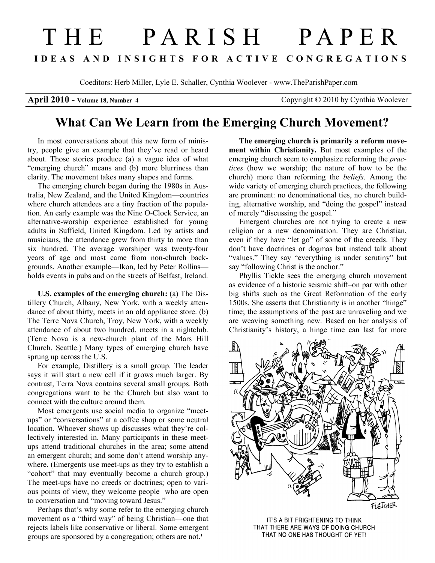## THE PARISH PAPER I D E A S A N D I N S I G H T S F O R A C T I V E C O N G R E G A T I O N S

Coeditors: Herb Miller, Lyle E. Schaller, Cynthia Woolever - www.TheParishPaper.com

April 2010 - Volume 18, Number 4 Copyright © 2010 by Cynthia Woolever

## What Can We Learn from the Emerging Church Movement?

In most conversations about this new form of ministry, people give an example that they've read or heard about. Those stories produce (a) a vague idea of what "emerging church" means and (b) more blurriness than clarity. The movement takes many shapes and forms.

The emerging church began during the 1980s in Australia, New Zealand, and the United Kingdom—countries where church attendees are a tiny fraction of the population. An early example was the Nine O-Clock Service, an alternative-worship experience established for young adults in Suffield, United Kingdom. Led by artists and musicians, the attendance grew from thirty to more than six hundred. The average worshiper was twenty-four years of age and most came from non-church backgrounds. Another example—Ikon, led by Peter Rollins holds events in pubs and on the streets of Belfast, Ireland.

U.S. examples of the emerging church: (a) The Distillery Church, Albany, New York, with a weekly attendance of about thirty, meets in an old appliance store. (b) The Terre Nova Church, Troy, New York, with a weekly attendance of about two hundred, meets in a nightclub. (Terre Nova is a new-church plant of the Mars Hill Church, Seattle.) Many types of emerging church have sprung up across the U.S.

For example, Distillery is a small group. The leader says it will start a new cell if it grows much larger. By contrast, Terra Nova contains several small groups. Both congregations want to be the Church but also want to connect with the culture around them.

Most emergents use social media to organize "meetups" or "conversations" at a coffee shop or some neutral location. Whoever shows up discusses what they're collectively interested in. Many participants in these meetups attend traditional churches in the area; some attend an emergent church; and some don't attend worship anywhere. (Emergents use meet-ups as they try to establish a "cohort" that may eventually become a church group.) The meet-ups have no creeds or doctrines; open to various points of view, they welcome people who are open to conversation and "moving toward Jesus."

Perhaps that's why some refer to the emerging church movement as a "third way" of being Christian—one that rejects labels like conservative or liberal. Some emergent groups are sponsored by a congregation; others are not.<sup>1</sup>

The emerging church is primarily a reform movement within Christianity. But most examples of the emerging church seem to emphasize reforming the *prac*tices (how we worship; the nature of how to be the church) more than reforming the beliefs. Among the wide variety of emerging church practices, the following are prominent: no denominational ties, no church building, alternative worship, and "doing the gospel" instead of merely "discussing the gospel."

Emergent churches are not trying to create a new religion or a new denomination. They are Christian, even if they have "let go" of some of the creeds. They don't have doctrines or dogmas but instead talk about "values." They say "everything is under scrutiny" but say "following Christ is the anchor."

Phyllis Tickle sees the emerging church movement as evidence of a historic seismic shift–on par with other big shifts such as the Great Reformation of the early 1500s. She asserts that Christianity is in another "hinge" time; the assumptions of the past are unraveling and we are weaving something new. Based on her analysis of Christianity's history, a hinge time can last for more



IT'S A BIT FRIGHTENING TO THINK THAT THERE ARE WAYS OF DOING CHURCH THAT NO ONE HAS THOUGHT OF YET!